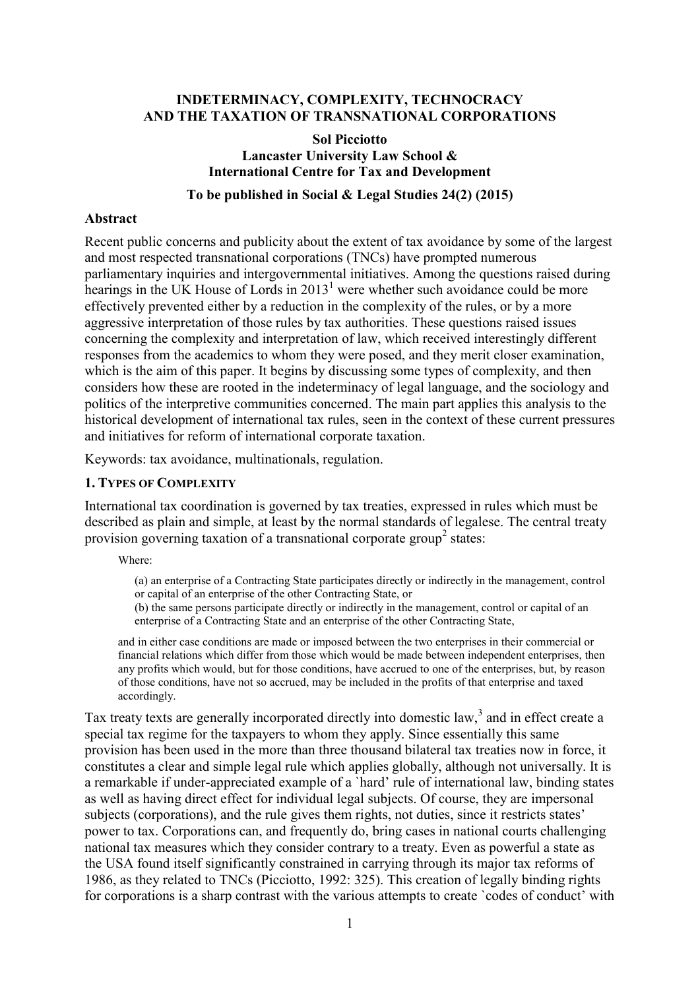## **INDETERMINACY, COMPLEXITY, TECHNOCRACY AND THE TAXATION OF TRANSNATIONAL CORPORATIONS**

#### **Sol Picciotto Lancaster University Law School & International Centre for Tax and Development**

#### **To be published in Social & Legal Studies 24(2) (2015)**

#### **Abstract**

Recent public concerns and publicity about the extent of tax avoidance by some of the largest and most respected transnational corporations (TNCs) have prompted numerous parliamentary inquiries and intergovernmental initiatives. Among the questions raised during hearings in the UK House of Lords in 2013<sup>1</sup> were whether such avoidance could be more effectively prevented either by a reduction in the complexity of the rules, or by a more aggressive interpretation of those rules by tax authorities. These questions raised issues concerning the complexity and interpretation of law, which received interestingly different responses from the academics to whom they were posed, and they merit closer examination, which is the aim of this paper. It begins by discussing some types of complexity, and then considers how these are rooted in the indeterminacy of legal language, and the sociology and politics of the interpretive communities concerned. The main part applies this analysis to the historical development of international tax rules, seen in the context of these current pressures and initiatives for reform of international corporate taxation.

Keywords: tax avoidance, multinationals, regulation.

## **1. TYPES OF COMPLEXITY**

International tax coordination is governed by tax treaties, expressed in rules which must be described as plain and simple, at least by the normal standards of legalese. The central treaty provision governing taxation of a transnational corporate group<sup>2</sup> states:

Where:

(a) an enterprise of a Contracting State participates directly or indirectly in the management, control or capital of an enterprise of the other Contracting State, or

(b) the same persons participate directly or indirectly in the management, control or capital of an enterprise of a Contracting State and an enterprise of the other Contracting State,

and in either case conditions are made or imposed between the two enterprises in their commercial or financial relations which differ from those which would be made between independent enterprises, then any profits which would, but for those conditions, have accrued to one of the enterprises, but, by reason of those conditions, have not so accrued, may be included in the profits of that enterprise and taxed accordingly.

Tax treaty texts are generally incorporated directly into domestic law,<sup>3</sup> and in effect create a special tax regime for the taxpayers to whom they apply. Since essentially this same provision has been used in the more than three thousand bilateral tax treaties now in force, it constitutes a clear and simple legal rule which applies globally, although not universally. It is a remarkable if under-appreciated example of a `hard' rule of international law, binding states as well as having direct effect for individual legal subjects. Of course, they are impersonal subjects (corporations), and the rule gives them rights, not duties, since it restricts states' power to tax. Corporations can, and frequently do, bring cases in national courts challenging national tax measures which they consider contrary to a treaty. Even as powerful a state as the USA found itself significantly constrained in carrying through its major tax reforms of 1986, as they related to TNCs (Picciotto, 1992: 325). This creation of legally binding rights for corporations is a sharp contrast with the various attempts to create `codes of conduct' with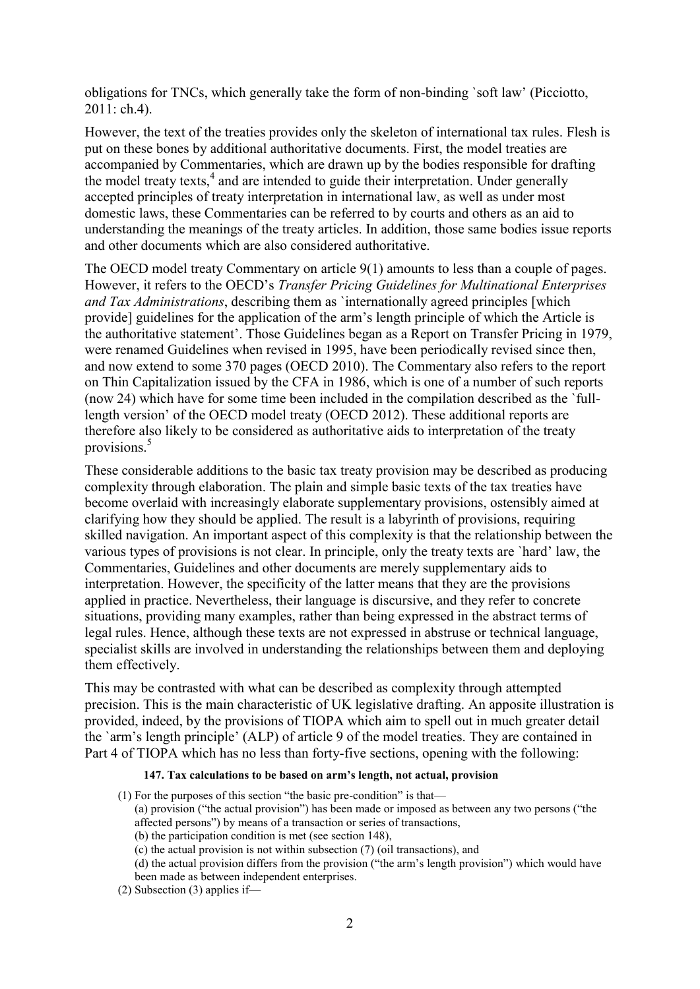obligations for TNCs, which generally take the form of non-binding `soft law' (Picciotto, 2011: ch.4).

However, the text of the treaties provides only the skeleton of international tax rules. Flesh is put on these bones by additional authoritative documents. First, the model treaties are accompanied by Commentaries, which are drawn up by the bodies responsible for drafting the model treaty texts,<sup>4</sup> and are intended to guide their interpretation. Under generally accepted principles of treaty interpretation in international law, as well as under most domestic laws, these Commentaries can be referred to by courts and others as an aid to understanding the meanings of the treaty articles. In addition, those same bodies issue reports and other documents which are also considered authoritative.

The OECD model treaty Commentary on article 9(1) amounts to less than a couple of pages. However, it refers to the OECD's *Transfer Pricing Guidelines for Multinational Enterprises and Tax Administrations*, describing them as `internationally agreed principles [which provide] guidelines for the application of the arm's length principle of which the Article is the authoritative statement'. Those Guidelines began as a Report on Transfer Pricing in 1979, were renamed Guidelines when revised in 1995, have been periodically revised since then, and now extend to some 370 pages (OECD 2010). The Commentary also refers to the report on Thin Capitalization issued by the CFA in 1986, which is one of a number of such reports (now 24) which have for some time been included in the compilation described as the `fulllength version' of the OECD model treaty (OECD 2012). These additional reports are therefore also likely to be considered as authoritative aids to interpretation of the treaty provisions.<sup>5</sup>

These considerable additions to the basic tax treaty provision may be described as producing complexity through elaboration. The plain and simple basic texts of the tax treaties have become overlaid with increasingly elaborate supplementary provisions, ostensibly aimed at clarifying how they should be applied. The result is a labyrinth of provisions, requiring skilled navigation. An important aspect of this complexity is that the relationship between the various types of provisions is not clear. In principle, only the treaty texts are `hard' law, the Commentaries, Guidelines and other documents are merely supplementary aids to interpretation. However, the specificity of the latter means that they are the provisions applied in practice. Nevertheless, their language is discursive, and they refer to concrete situations, providing many examples, rather than being expressed in the abstract terms of legal rules. Hence, although these texts are not expressed in abstruse or technical language, specialist skills are involved in understanding the relationships between them and deploying them effectively.

This may be contrasted with what can be described as complexity through attempted precision. This is the main characteristic of UK legislative drafting. An apposite illustration is provided, indeed, by the provisions of TIOPA which aim to spell out in much greater detail the `arm's length principle' (ALP) of article 9 of the model treaties. They are contained in Part 4 of TIOPA which has no less than forty-five sections, opening with the following:

#### **147. Tax calculations to be based on arm's length, not actual, provision**

- (1) For the purposes of this section "the basic pre-condition" is that—
	- (a) provision ("the actual provision") has been made or imposed as between any two persons ("the affected persons") by means of a transaction or series of transactions,
	- (b) the participation condition is met (see section 148),
	- (c) the actual provision is not within subsection (7) (oil transactions), and
	- (d) the actual provision differs from the provision ("the arm's length provision") which would have been made as between independent enterprises.
- (2) Subsection (3) applies if—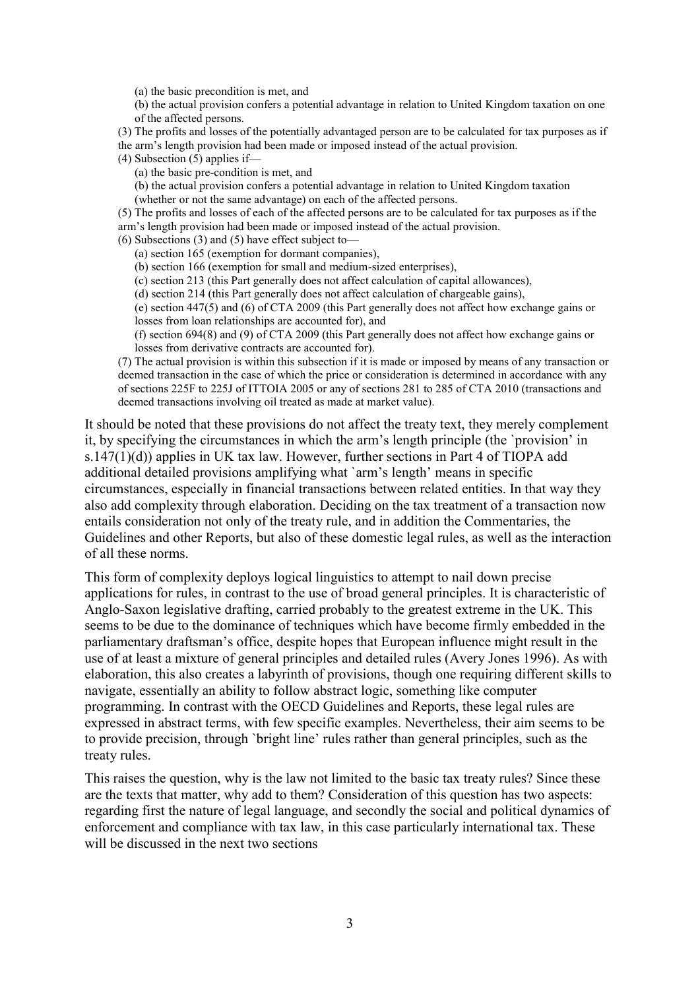(a) the basic precondition is met, and

(b) the actual provision confers a potential advantage in relation to United Kingdom taxation on one of the affected persons.

(3) The profits and losses of the potentially advantaged person are to be calculated for tax purposes as if

the arm's length provision had been made or imposed instead of the actual provision.

(4) Subsection (5) applies if—

(a) the basic pre-condition is met, and

(b) the actual provision confers a potential advantage in relation to United Kingdom taxation (whether or not the same advantage) on each of the affected persons.

(5) The profits and losses of each of the affected persons are to be calculated for tax purposes as if the arm's length provision had been made or imposed instead of the actual provision.

(6) Subsections (3) and (5) have effect subject to—

(a) section 165 (exemption for dormant companies),

(b) section 166 (exemption for small and medium-sized enterprises),

(c) section 213 (this Part generally does not affect calculation of capital allowances),

(d) section 214 (this Part generally does not affect calculation of chargeable gains),

(e) section 447(5) and (6) of CTA 2009 (this Part generally does not affect how exchange gains or losses from loan relationships are accounted for), and

(f) section 694(8) and (9) of CTA 2009 (this Part generally does not affect how exchange gains or losses from derivative contracts are accounted for).

(7) The actual provision is within this subsection if it is made or imposed by means of any transaction or deemed transaction in the case of which the price or consideration is determined in accordance with any of sections 225F to 225J of ITTOIA 2005 or any of sections 281 to 285 of CTA 2010 (transactions and deemed transactions involving oil treated as made at market value).

It should be noted that these provisions do not affect the treaty text, they merely complement it, by specifying the circumstances in which the arm's length principle (the `provision' in s.147(1)(d)) applies in UK tax law. However, further sections in Part 4 of TIOPA add additional detailed provisions amplifying what `arm's length' means in specific circumstances, especially in financial transactions between related entities. In that way they also add complexity through elaboration. Deciding on the tax treatment of a transaction now entails consideration not only of the treaty rule, and in addition the Commentaries, the Guidelines and other Reports, but also of these domestic legal rules, as well as the interaction of all these norms.

This form of complexity deploys logical linguistics to attempt to nail down precise applications for rules, in contrast to the use of broad general principles. It is characteristic of Anglo-Saxon legislative drafting, carried probably to the greatest extreme in the UK. This seems to be due to the dominance of techniques which have become firmly embedded in the parliamentary draftsman's office, despite hopes that European influence might result in the use of at least a mixture of general principles and detailed rules (Avery Jones 1996). As with elaboration, this also creates a labyrinth of provisions, though one requiring different skills to navigate, essentially an ability to follow abstract logic, something like computer programming. In contrast with the OECD Guidelines and Reports, these legal rules are expressed in abstract terms, with few specific examples. Nevertheless, their aim seems to be to provide precision, through `bright line' rules rather than general principles, such as the treaty rules.

This raises the question, why is the law not limited to the basic tax treaty rules? Since these are the texts that matter, why add to them? Consideration of this question has two aspects: regarding first the nature of legal language, and secondly the social and political dynamics of enforcement and compliance with tax law, in this case particularly international tax. These will be discussed in the next two sections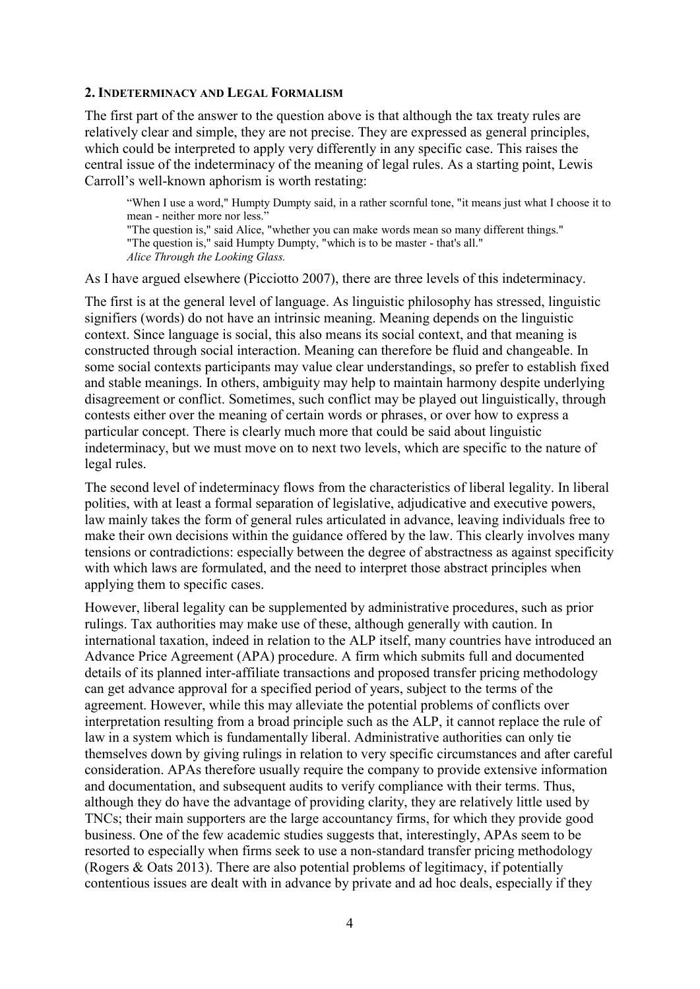## **2. INDETERMINACY AND LEGAL FORMALISM**

The first part of the answer to the question above is that although the tax treaty rules are relatively clear and simple, they are not precise. They are expressed as general principles, which could be interpreted to apply very differently in any specific case. This raises the central issue of the indeterminacy of the meaning of legal rules. As a starting point, Lewis Carroll's well-known aphorism is worth restating:

"When I use a word," Humpty Dumpty said, in a rather scornful tone, "it means just what I choose it to mean - neither more nor less."

"The question is," said Alice, "whether you can make words mean so many different things." "The question is," said Humpty Dumpty, "which is to be master - that's all." *Alice Through the Looking Glass.*

As I have argued elsewhere (Picciotto 2007), there are three levels of this indeterminacy.

The first is at the general level of language. As linguistic philosophy has stressed, linguistic signifiers (words) do not have an intrinsic meaning. Meaning depends on the linguistic context. Since language is social, this also means its social context, and that meaning is constructed through social interaction. Meaning can therefore be fluid and changeable. In some social contexts participants may value clear understandings, so prefer to establish fixed and stable meanings. In others, ambiguity may help to maintain harmony despite underlying disagreement or conflict. Sometimes, such conflict may be played out linguistically, through contests either over the meaning of certain words or phrases, or over how to express a particular concept. There is clearly much more that could be said about linguistic indeterminacy, but we must move on to next two levels, which are specific to the nature of legal rules.

The second level of indeterminacy flows from the characteristics of liberal legality. In liberal polities, with at least a formal separation of legislative, adjudicative and executive powers, law mainly takes the form of general rules articulated in advance, leaving individuals free to make their own decisions within the guidance offered by the law. This clearly involves many tensions or contradictions: especially between the degree of abstractness as against specificity with which laws are formulated, and the need to interpret those abstract principles when applying them to specific cases.

However, liberal legality can be supplemented by administrative procedures, such as prior rulings. Tax authorities may make use of these, although generally with caution. In international taxation, indeed in relation to the ALP itself, many countries have introduced an Advance Price Agreement (APA) procedure. A firm which submits full and documented details of its planned inter-affiliate transactions and proposed transfer pricing methodology can get advance approval for a specified period of years, subject to the terms of the agreement. However, while this may alleviate the potential problems of conflicts over interpretation resulting from a broad principle such as the ALP, it cannot replace the rule of law in a system which is fundamentally liberal. Administrative authorities can only tie themselves down by giving rulings in relation to very specific circumstances and after careful consideration. APAs therefore usually require the company to provide extensive information and documentation, and subsequent audits to verify compliance with their terms. Thus, although they do have the advantage of providing clarity, they are relatively little used by TNCs; their main supporters are the large accountancy firms, for which they provide good business. One of the few academic studies suggests that, interestingly, APAs seem to be resorted to especially when firms seek to use a non-standard transfer pricing methodology (Rogers & Oats 2013). There are also potential problems of legitimacy, if potentially contentious issues are dealt with in advance by private and ad hoc deals, especially if they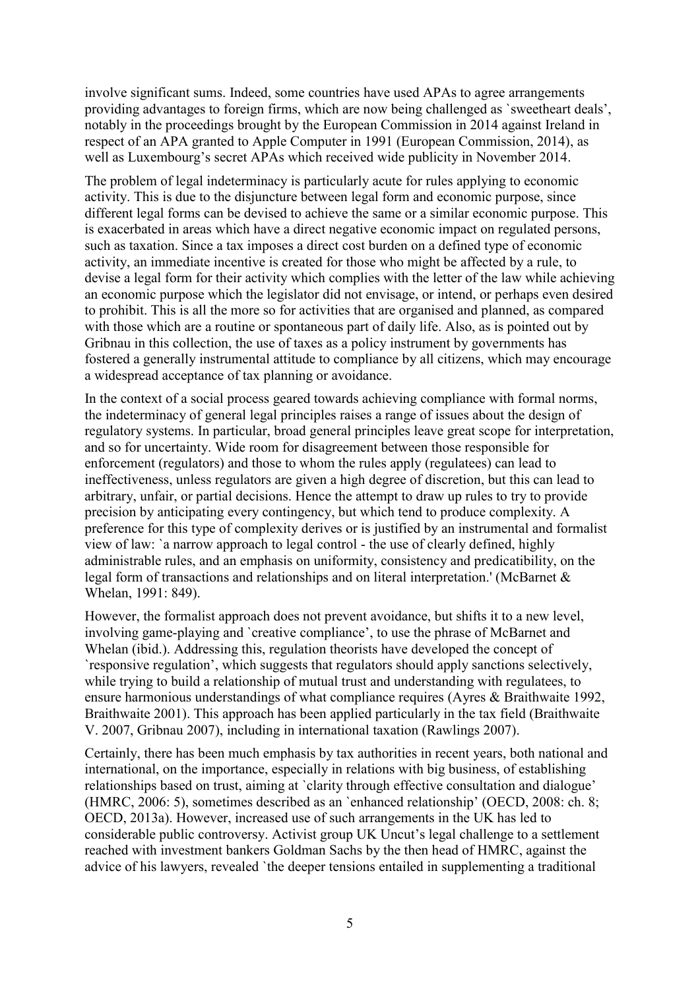involve significant sums. Indeed, some countries have used APAs to agree arrangements providing advantages to foreign firms, which are now being challenged as `sweetheart deals', notably in the proceedings brought by the European Commission in 2014 against Ireland in respect of an APA granted to Apple Computer in 1991 (European Commission, 2014), as well as Luxembourg's secret APAs which received wide publicity in November 2014.

The problem of legal indeterminacy is particularly acute for rules applying to economic activity. This is due to the disjuncture between legal form and economic purpose, since different legal forms can be devised to achieve the same or a similar economic purpose. This is exacerbated in areas which have a direct negative economic impact on regulated persons, such as taxation. Since a tax imposes a direct cost burden on a defined type of economic activity, an immediate incentive is created for those who might be affected by a rule, to devise a legal form for their activity which complies with the letter of the law while achieving an economic purpose which the legislator did not envisage, or intend, or perhaps even desired to prohibit. This is all the more so for activities that are organised and planned, as compared with those which are a routine or spontaneous part of daily life. Also, as is pointed out by Gribnau in this collection, the use of taxes as a policy instrument by governments has fostered a generally instrumental attitude to compliance by all citizens, which may encourage a widespread acceptance of tax planning or avoidance.

In the context of a social process geared towards achieving compliance with formal norms, the indeterminacy of general legal principles raises a range of issues about the design of regulatory systems. In particular, broad general principles leave great scope for interpretation, and so for uncertainty. Wide room for disagreement between those responsible for enforcement (regulators) and those to whom the rules apply (regulatees) can lead to ineffectiveness, unless regulators are given a high degree of discretion, but this can lead to arbitrary, unfair, or partial decisions. Hence the attempt to draw up rules to try to provide precision by anticipating every contingency, but which tend to produce complexity. A preference for this type of complexity derives or is justified by an instrumental and formalist view of law: `a narrow approach to legal control - the use of clearly defined, highly administrable rules, and an emphasis on uniformity, consistency and predicatibility, on the legal form of transactions and relationships and on literal interpretation.' (McBarnet & Whelan, 1991: 849).

However, the formalist approach does not prevent avoidance, but shifts it to a new level, involving game-playing and `creative compliance', to use the phrase of McBarnet and Whelan (ibid.). Addressing this, regulation theorists have developed the concept of `responsive regulation', which suggests that regulators should apply sanctions selectively, while trying to build a relationship of mutual trust and understanding with regulatees, to ensure harmonious understandings of what compliance requires (Ayres & Braithwaite 1992, Braithwaite 2001). This approach has been applied particularly in the tax field (Braithwaite V. 2007, Gribnau 2007), including in international taxation (Rawlings 2007).

Certainly, there has been much emphasis by tax authorities in recent years, both national and international, on the importance, especially in relations with big business, of establishing relationships based on trust, aiming at `clarity through effective consultation and dialogue' (HMRC, 2006: 5), sometimes described as an `enhanced relationship' (OECD, 2008: ch. 8; OECD, 2013a). However, increased use of such arrangements in the UK has led to considerable public controversy. Activist group UK Uncut's legal challenge to a settlement reached with investment bankers Goldman Sachs by the then head of HMRC, against the advice of his lawyers, revealed `the deeper tensions entailed in supplementing a traditional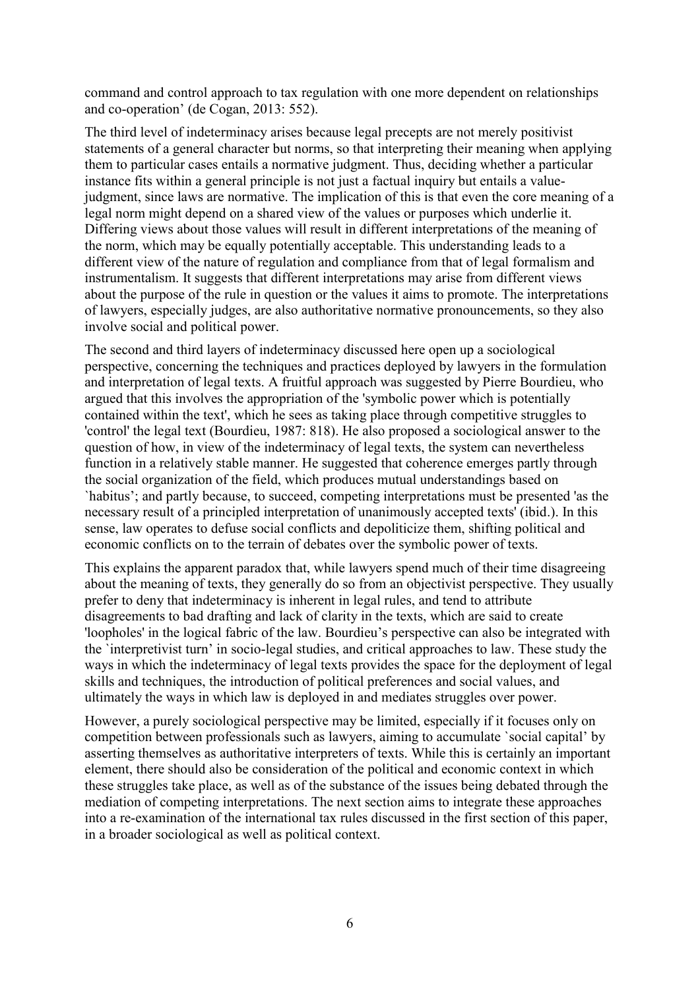command and control approach to tax regulation with one more dependent on relationships and co-operation' (de Cogan, 2013: 552).

The third level of indeterminacy arises because legal precepts are not merely positivist statements of a general character but norms, so that interpreting their meaning when applying them to particular cases entails a normative judgment. Thus, deciding whether a particular instance fits within a general principle is not just a factual inquiry but entails a valuejudgment, since laws are normative. The implication of this is that even the core meaning of a legal norm might depend on a shared view of the values or purposes which underlie it. Differing views about those values will result in different interpretations of the meaning of the norm, which may be equally potentially acceptable. This understanding leads to a different view of the nature of regulation and compliance from that of legal formalism and instrumentalism. It suggests that different interpretations may arise from different views about the purpose of the rule in question or the values it aims to promote. The interpretations of lawyers, especially judges, are also authoritative normative pronouncements, so they also involve social and political power.

The second and third layers of indeterminacy discussed here open up a sociological perspective, concerning the techniques and practices deployed by lawyers in the formulation and interpretation of legal texts. A fruitful approach was suggested by Pierre Bourdieu, who argued that this involves the appropriation of the 'symbolic power which is potentially contained within the text', which he sees as taking place through competitive struggles to 'control' the legal text (Bourdieu, 1987: 818). He also proposed a sociological answer to the question of how, in view of the indeterminacy of legal texts, the system can nevertheless function in a relatively stable manner. He suggested that coherence emerges partly through the social organization of the field, which produces mutual understandings based on `habitus'; and partly because, to succeed, competing interpretations must be presented 'as the necessary result of a principled interpretation of unanimously accepted texts' (ibid.). In this sense, law operates to defuse social conflicts and depoliticize them, shifting political and economic conflicts on to the terrain of debates over the symbolic power of texts.

This explains the apparent paradox that, while lawyers spend much of their time disagreeing about the meaning of texts, they generally do so from an objectivist perspective. They usually prefer to deny that indeterminacy is inherent in legal rules, and tend to attribute disagreements to bad drafting and lack of clarity in the texts, which are said to create 'loopholes' in the logical fabric of the law. Bourdieu's perspective can also be integrated with the `interpretivist turn' in socio-legal studies, and critical approaches to law. These study the ways in which the indeterminacy of legal texts provides the space for the deployment of legal skills and techniques, the introduction of political preferences and social values, and ultimately the ways in which law is deployed in and mediates struggles over power.

However, a purely sociological perspective may be limited, especially if it focuses only on competition between professionals such as lawyers, aiming to accumulate `social capital' by asserting themselves as authoritative interpreters of texts. While this is certainly an important element, there should also be consideration of the political and economic context in which these struggles take place, as well as of the substance of the issues being debated through the mediation of competing interpretations. The next section aims to integrate these approaches into a re-examination of the international tax rules discussed in the first section of this paper, in a broader sociological as well as political context.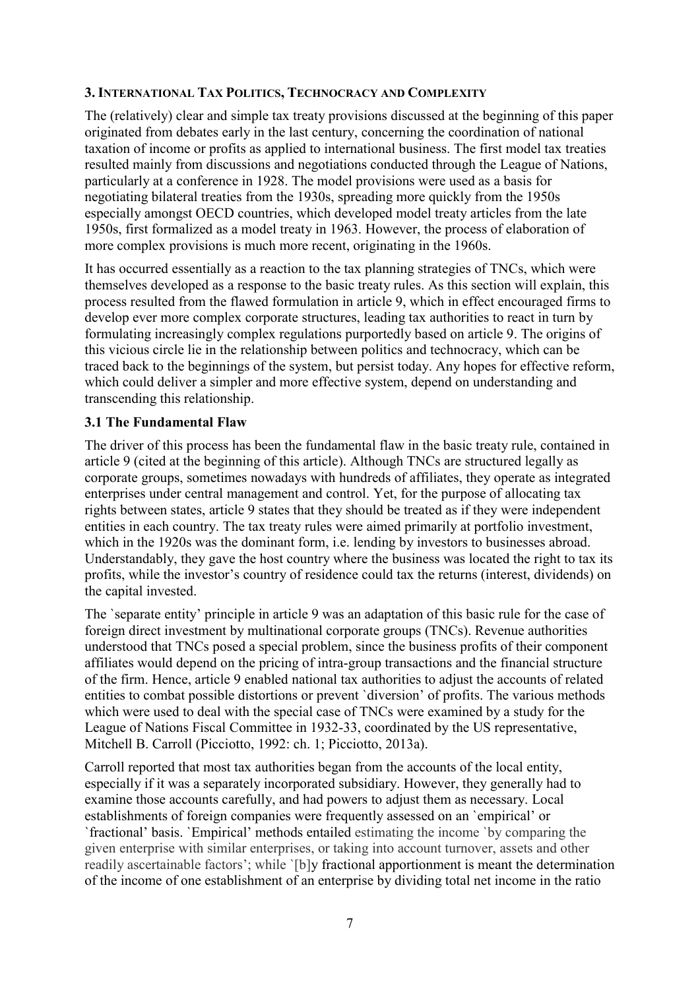# **3. INTERNATIONAL TAX POLITICS, TECHNOCRACY AND COMPLEXITY**

The (relatively) clear and simple tax treaty provisions discussed at the beginning of this paper originated from debates early in the last century, concerning the coordination of national taxation of income or profits as applied to international business. The first model tax treaties resulted mainly from discussions and negotiations conducted through the League of Nations, particularly at a conference in 1928. The model provisions were used as a basis for negotiating bilateral treaties from the 1930s, spreading more quickly from the 1950s especially amongst OECD countries, which developed model treaty articles from the late 1950s, first formalized as a model treaty in 1963. However, the process of elaboration of more complex provisions is much more recent, originating in the 1960s.

It has occurred essentially as a reaction to the tax planning strategies of TNCs, which were themselves developed as a response to the basic treaty rules. As this section will explain, this process resulted from the flawed formulation in article 9, which in effect encouraged firms to develop ever more complex corporate structures, leading tax authorities to react in turn by formulating increasingly complex regulations purportedly based on article 9. The origins of this vicious circle lie in the relationship between politics and technocracy, which can be traced back to the beginnings of the system, but persist today. Any hopes for effective reform, which could deliver a simpler and more effective system, depend on understanding and transcending this relationship.

# **3.1 The Fundamental Flaw**

The driver of this process has been the fundamental flaw in the basic treaty rule, contained in article 9 (cited at the beginning of this article). Although TNCs are structured legally as corporate groups, sometimes nowadays with hundreds of affiliates, they operate as integrated enterprises under central management and control. Yet, for the purpose of allocating tax rights between states, article 9 states that they should be treated as if they were independent entities in each country. The tax treaty rules were aimed primarily at portfolio investment, which in the 1920s was the dominant form, i.e. lending by investors to businesses abroad. Understandably, they gave the host country where the business was located the right to tax its profits, while the investor's country of residence could tax the returns (interest, dividends) on the capital invested.

The `separate entity' principle in article 9 was an adaptation of this basic rule for the case of foreign direct investment by multinational corporate groups (TNCs). Revenue authorities understood that TNCs posed a special problem, since the business profits of their component affiliates would depend on the pricing of intra-group transactions and the financial structure of the firm. Hence, article 9 enabled national tax authorities to adjust the accounts of related entities to combat possible distortions or prevent `diversion' of profits. The various methods which were used to deal with the special case of TNCs were examined by a study for the League of Nations Fiscal Committee in 1932-33, coordinated by the US representative, Mitchell B. Carroll (Picciotto, 1992: ch. 1; Picciotto, 2013a).

Carroll reported that most tax authorities began from the accounts of the local entity, especially if it was a separately incorporated subsidiary. However, they generally had to examine those accounts carefully, and had powers to adjust them as necessary. Local establishments of foreign companies were frequently assessed on an `empirical' or `fractional' basis. `Empirical' methods entailed estimating the income `by comparing the given enterprise with similar enterprises, or taking into account turnover, assets and other readily ascertainable factors'; while `[b]y fractional apportionment is meant the determination of the income of one establishment of an enterprise by dividing total net income in the ratio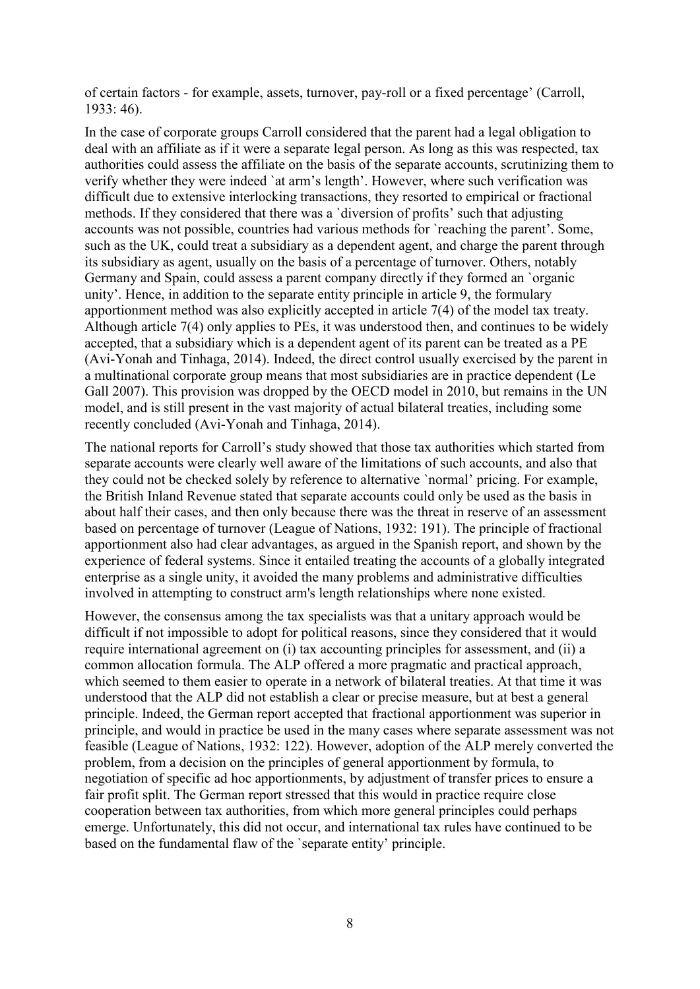of certain factors - for example, assets, turnover, pay-roll or a fixed percentage' (Carroll, 1933: 46).

In the case of corporate groups Carroll considered that the parent had a legal obligation to deal with an affiliate as if it were a separate legal person. As long as this was respected, tax authorities could assess the affiliate on the basis of the separate accounts, scrutinizing them to verify whether they were indeed `at arm's length'. However, where such verification was difficult due to extensive interlocking transactions, they resorted to empirical or fractional methods. If they considered that there was a `diversion of profits' such that adjusting accounts was not possible, countries had various methods for `reaching the parent'. Some, such as the UK, could treat a subsidiary as a dependent agent, and charge the parent through its subsidiary as agent, usually on the basis of a percentage of turnover. Others, notably Germany and Spain, could assess a parent company directly if they formed an `organic unity'. Hence, in addition to the separate entity principle in article 9, the formulary apportionment method was also explicitly accepted in article 7(4) of the model tax treaty. Although article 7(4) only applies to PEs, it was understood then, and continues to be widely accepted, that a subsidiary which is a dependent agent of its parent can be treated as a PE (Avi-Yonah and Tinhaga, 2014). Indeed, the direct control usually exercised by the parent in a multinational corporate group means that most subsidiaries are in practice dependent (Le Gall 2007). This provision was dropped by the OECD model in 2010, but remains in the UN model, and is still present in the vast majority of actual bilateral treaties, including some recently concluded (Avi-Yonah and Tinhaga, 2014).

The national reports for Carroll's study showed that those tax authorities which started from separate accounts were clearly well aware of the limitations of such accounts, and also that they could not be checked solely by reference to alternative `normal' pricing. For example, the British Inland Revenue stated that separate accounts could only be used as the basis in about half their cases, and then only because there was the threat in reserve of an assessment based on percentage of turnover (League of Nations, 1932: 191). The principle of fractional apportionment also had clear advantages, as argued in the Spanish report, and shown by the experience of federal systems. Since it entailed treating the accounts of a globally integrated enterprise as a single unity, it avoided the many problems and administrative difficulties involved in attempting to construct arm's length relationships where none existed.

However, the consensus among the tax specialists was that a unitary approach would be difficult if not impossible to adopt for political reasons, since they considered that it would require international agreement on (i) tax accounting principles for assessment, and (ii) a common allocation formula. The ALP offered a more pragmatic and practical approach, which seemed to them easier to operate in a network of bilateral treaties. At that time it was understood that the ALP did not establish a clear or precise measure, but at best a general principle. Indeed, the German report accepted that fractional apportionment was superior in principle, and would in practice be used in the many cases where separate assessment was not feasible (League of Nations, 1932: 122). However, adoption of the ALP merely converted the problem, from a decision on the principles of general apportionment by formula, to negotiation of specific ad hoc apportionments, by adjustment of transfer prices to ensure a fair profit split. The German report stressed that this would in practice require close cooperation between tax authorities, from which more general principles could perhaps emerge. Unfortunately, this did not occur, and international tax rules have continued to be based on the fundamental flaw of the `separate entity' principle.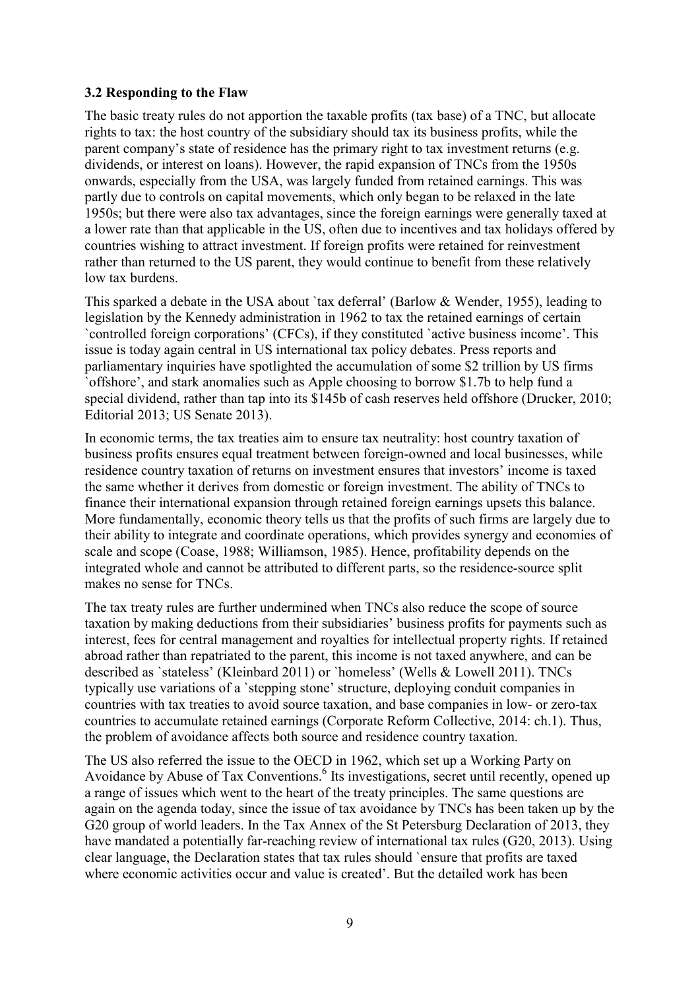# **3.2 Responding to the Flaw**

The basic treaty rules do not apportion the taxable profits (tax base) of a TNC, but allocate rights to tax: the host country of the subsidiary should tax its business profits, while the parent company's state of residence has the primary right to tax investment returns (e.g. dividends, or interest on loans). However, the rapid expansion of TNCs from the 1950s onwards, especially from the USA, was largely funded from retained earnings. This was partly due to controls on capital movements, which only began to be relaxed in the late 1950s; but there were also tax advantages, since the foreign earnings were generally taxed at a lower rate than that applicable in the US, often due to incentives and tax holidays offered by countries wishing to attract investment. If foreign profits were retained for reinvestment rather than returned to the US parent, they would continue to benefit from these relatively low tax burdens.

This sparked a debate in the USA about 'tax deferral' (Barlow & Wender, 1955), leading to legislation by the Kennedy administration in 1962 to tax the retained earnings of certain `controlled foreign corporations' (CFCs), if they constituted `active business income'. This issue is today again central in US international tax policy debates. Press reports and parliamentary inquiries have spotlighted the accumulation of some \$2 trillion by US firms `offshore', and stark anomalies such as Apple choosing to borrow \$1.7b to help fund a special dividend, rather than tap into its \$145b of cash reserves held offshore (Drucker, 2010; Editorial 2013; US Senate 2013).

In economic terms, the tax treaties aim to ensure tax neutrality: host country taxation of business profits ensures equal treatment between foreign-owned and local businesses, while residence country taxation of returns on investment ensures that investors' income is taxed the same whether it derives from domestic or foreign investment. The ability of TNCs to finance their international expansion through retained foreign earnings upsets this balance. More fundamentally, economic theory tells us that the profits of such firms are largely due to their ability to integrate and coordinate operations, which provides synergy and economies of scale and scope (Coase, 1988; Williamson, 1985). Hence, profitability depends on the integrated whole and cannot be attributed to different parts, so the residence-source split makes no sense for TNCs.

The tax treaty rules are further undermined when TNCs also reduce the scope of source taxation by making deductions from their subsidiaries' business profits for payments such as interest, fees for central management and royalties for intellectual property rights. If retained abroad rather than repatriated to the parent, this income is not taxed anywhere, and can be described as `stateless' (Kleinbard 2011) or `homeless' (Wells & Lowell 2011). TNCs typically use variations of a `stepping stone' structure, deploying conduit companies in countries with tax treaties to avoid source taxation, and base companies in low- or zero-tax countries to accumulate retained earnings (Corporate Reform Collective, 2014: ch.1). Thus, the problem of avoidance affects both source and residence country taxation.

The US also referred the issue to the OECD in 1962, which set up a Working Party on Avoidance by Abuse of Tax Conventions.<sup>6</sup> Its investigations, secret until recently, opened up a range of issues which went to the heart of the treaty principles. The same questions are again on the agenda today, since the issue of tax avoidance by TNCs has been taken up by the G20 group of world leaders. In the Tax Annex of the St Petersburg Declaration of 2013, they have mandated a potentially far-reaching review of international tax rules (G20, 2013). Using clear language, the Declaration states that tax rules should `ensure that profits are taxed where economic activities occur and value is created'. But the detailed work has been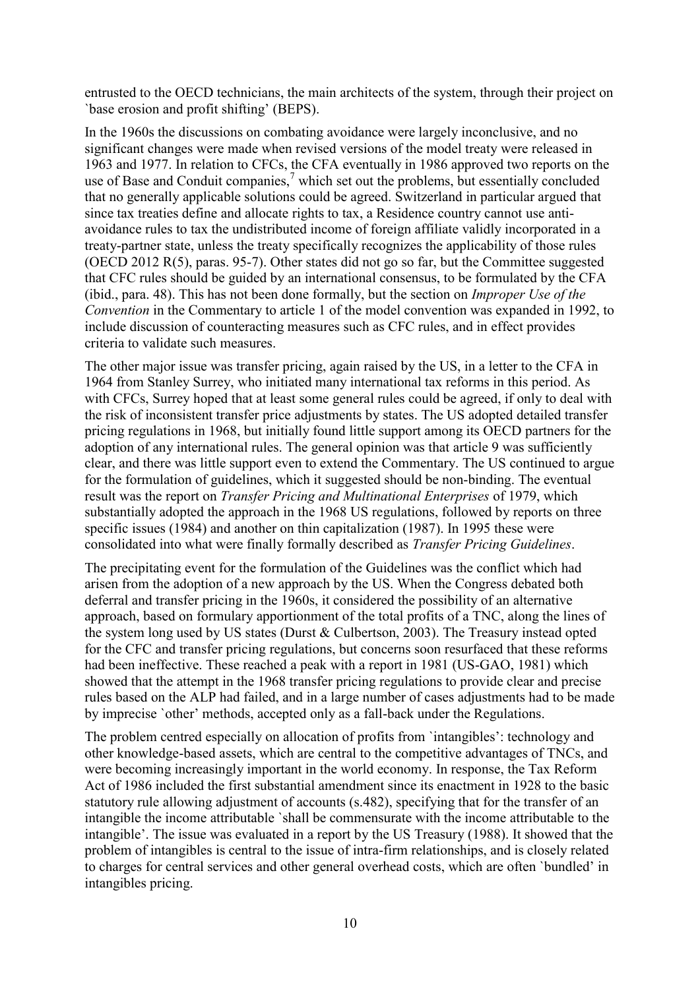entrusted to the OECD technicians, the main architects of the system, through their project on `base erosion and profit shifting' (BEPS).

In the 1960s the discussions on combating avoidance were largely inconclusive, and no significant changes were made when revised versions of the model treaty were released in 1963 and 1977. In relation to CFCs, the CFA eventually in 1986 approved two reports on the use of Base and Conduit companies, $\frac{7}{1}$  which set out the problems, but essentially concluded that no generally applicable solutions could be agreed. Switzerland in particular argued that since tax treaties define and allocate rights to tax, a Residence country cannot use antiavoidance rules to tax the undistributed income of foreign affiliate validly incorporated in a treaty-partner state, unless the treaty specifically recognizes the applicability of those rules (OECD 2012 R(5), paras. 95-7). Other states did not go so far, but the Committee suggested that CFC rules should be guided by an international consensus, to be formulated by the CFA (ibid., para. 48). This has not been done formally, but the section on *Improper Use of the Convention* in the Commentary to article 1 of the model convention was expanded in 1992, to include discussion of counteracting measures such as CFC rules, and in effect provides criteria to validate such measures.

The other major issue was transfer pricing, again raised by the US, in a letter to the CFA in 1964 from Stanley Surrey, who initiated many international tax reforms in this period. As with CFCs, Surrey hoped that at least some general rules could be agreed, if only to deal with the risk of inconsistent transfer price adjustments by states. The US adopted detailed transfer pricing regulations in 1968, but initially found little support among its OECD partners for the adoption of any international rules. The general opinion was that article 9 was sufficiently clear, and there was little support even to extend the Commentary. The US continued to argue for the formulation of guidelines, which it suggested should be non-binding. The eventual result was the report on *Transfer Pricing and Multinational Enterprises* of 1979, which substantially adopted the approach in the 1968 US regulations, followed by reports on three specific issues (1984) and another on thin capitalization (1987). In 1995 these were consolidated into what were finally formally described as *Transfer Pricing Guidelines*.

The precipitating event for the formulation of the Guidelines was the conflict which had arisen from the adoption of a new approach by the US. When the Congress debated both deferral and transfer pricing in the 1960s, it considered the possibility of an alternative approach, based on formulary apportionment of the total profits of a TNC, along the lines of the system long used by US states (Durst & Culbertson, 2003). The Treasury instead opted for the CFC and transfer pricing regulations, but concerns soon resurfaced that these reforms had been ineffective. These reached a peak with a report in 1981 (US-GAO, 1981) which showed that the attempt in the 1968 transfer pricing regulations to provide clear and precise rules based on the ALP had failed, and in a large number of cases adjustments had to be made by imprecise `other' methods, accepted only as a fall-back under the Regulations.

The problem centred especially on allocation of profits from `intangibles': technology and other knowledge-based assets, which are central to the competitive advantages of TNCs, and were becoming increasingly important in the world economy. In response, the Tax Reform Act of 1986 included the first substantial amendment since its enactment in 1928 to the basic statutory rule allowing adjustment of accounts (s.482), specifying that for the transfer of an intangible the income attributable `shall be commensurate with the income attributable to the intangible'. The issue was evaluated in a report by the US Treasury (1988). It showed that the problem of intangibles is central to the issue of intra-firm relationships, and is closely related to charges for central services and other general overhead costs, which are often `bundled' in intangibles pricing.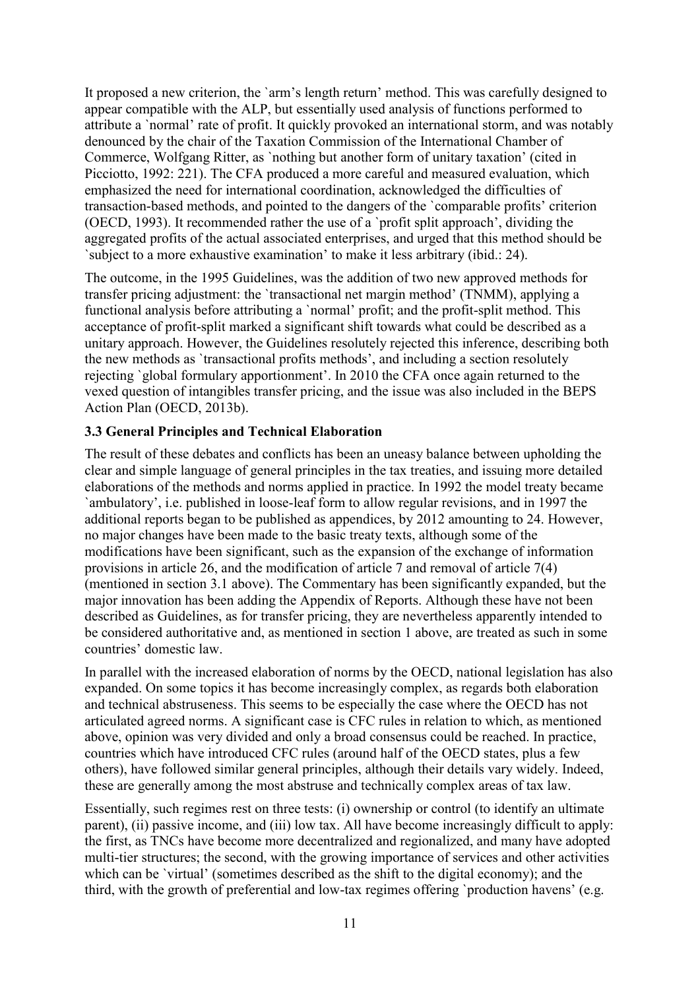It proposed a new criterion, the `arm's length return' method. This was carefully designed to appear compatible with the ALP, but essentially used analysis of functions performed to attribute a `normal' rate of profit. It quickly provoked an international storm, and was notably denounced by the chair of the Taxation Commission of the International Chamber of Commerce, Wolfgang Ritter, as `nothing but another form of unitary taxation' (cited in Picciotto, 1992: 221). The CFA produced a more careful and measured evaluation, which emphasized the need for international coordination, acknowledged the difficulties of transaction-based methods, and pointed to the dangers of the `comparable profits' criterion (OECD, 1993). It recommended rather the use of a `profit split approach', dividing the aggregated profits of the actual associated enterprises, and urged that this method should be `subject to a more exhaustive examination' to make it less arbitrary (ibid.: 24).

The outcome, in the 1995 Guidelines, was the addition of two new approved methods for transfer pricing adjustment: the `transactional net margin method' (TNMM), applying a functional analysis before attributing a `normal' profit; and the profit-split method. This acceptance of profit-split marked a significant shift towards what could be described as a unitary approach. However, the Guidelines resolutely rejected this inference, describing both the new methods as `transactional profits methods', and including a section resolutely rejecting `global formulary apportionment'. In 2010 the CFA once again returned to the vexed question of intangibles transfer pricing, and the issue was also included in the BEPS Action Plan (OECD, 2013b).

# **3.3 General Principles and Technical Elaboration**

The result of these debates and conflicts has been an uneasy balance between upholding the clear and simple language of general principles in the tax treaties, and issuing more detailed elaborations of the methods and norms applied in practice. In 1992 the model treaty became `ambulatory', i.e. published in loose-leaf form to allow regular revisions, and in 1997 the additional reports began to be published as appendices, by 2012 amounting to 24. However, no major changes have been made to the basic treaty texts, although some of the modifications have been significant, such as the expansion of the exchange of information provisions in article 26, and the modification of article 7 and removal of article 7(4) (mentioned in section 3.1 above). The Commentary has been significantly expanded, but the major innovation has been adding the Appendix of Reports. Although these have not been described as Guidelines, as for transfer pricing, they are nevertheless apparently intended to be considered authoritative and, as mentioned in section 1 above, are treated as such in some countries' domestic law.

In parallel with the increased elaboration of norms by the OECD, national legislation has also expanded. On some topics it has become increasingly complex, as regards both elaboration and technical abstruseness. This seems to be especially the case where the OECD has not articulated agreed norms. A significant case is CFC rules in relation to which, as mentioned above, opinion was very divided and only a broad consensus could be reached. In practice, countries which have introduced CFC rules (around half of the OECD states, plus a few others), have followed similar general principles, although their details vary widely. Indeed, these are generally among the most abstruse and technically complex areas of tax law.

Essentially, such regimes rest on three tests: (i) ownership or control (to identify an ultimate parent), (ii) passive income, and (iii) low tax. All have become increasingly difficult to apply: the first, as TNCs have become more decentralized and regionalized, and many have adopted multi-tier structures; the second, with the growing importance of services and other activities which can be `virtual' (sometimes described as the shift to the digital economy); and the third, with the growth of preferential and low-tax regimes offering `production havens' (e.g.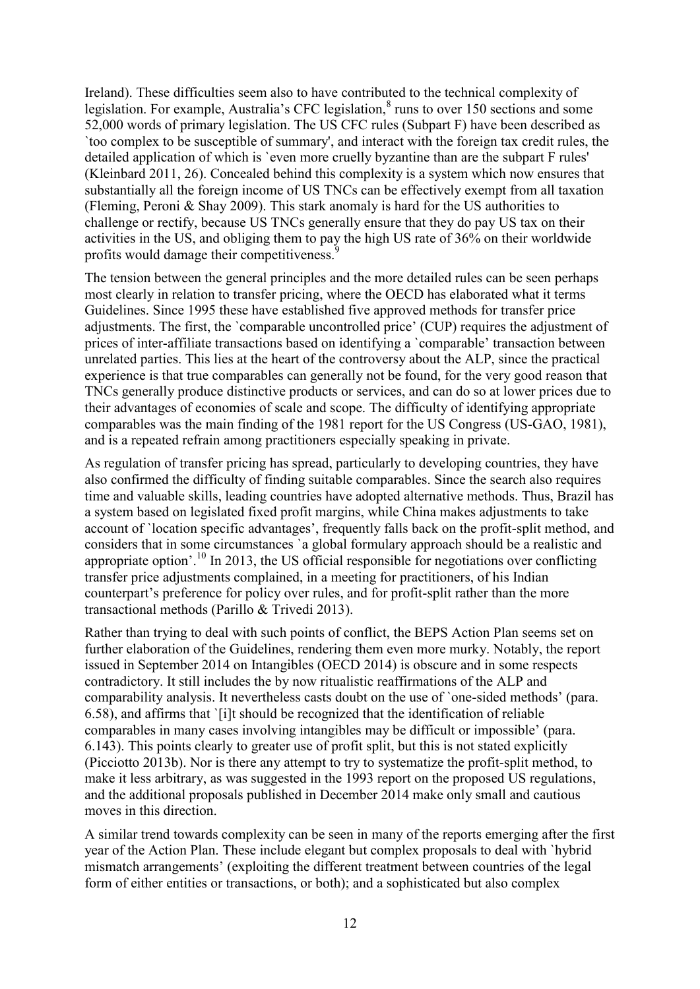Ireland). These difficulties seem also to have contributed to the technical complexity of legislation. For example, Australia's CFC legislation,<sup>8</sup> runs to over 150 sections and some 52,000 words of primary legislation. The US CFC rules (Subpart F) have been described as `too complex to be susceptible of summary', and interact with the foreign tax credit rules, the detailed application of which is `even more cruelly byzantine than are the subpart F rules' (Kleinbard 2011, 26). Concealed behind this complexity is a system which now ensures that substantially all the foreign income of US TNCs can be effectively exempt from all taxation (Fleming, Peroni & Shay 2009). This stark anomaly is hard for the US authorities to challenge or rectify, because US TNCs generally ensure that they do pay US tax on their activities in the US, and obliging them to pay the high US rate of 36% on their worldwide profits would damage their competitiveness.<sup>9</sup>

The tension between the general principles and the more detailed rules can be seen perhaps most clearly in relation to transfer pricing, where the OECD has elaborated what it terms Guidelines. Since 1995 these have established five approved methods for transfer price adjustments. The first, the `comparable uncontrolled price' (CUP) requires the adjustment of prices of inter-affiliate transactions based on identifying a `comparable' transaction between unrelated parties. This lies at the heart of the controversy about the ALP, since the practical experience is that true comparables can generally not be found, for the very good reason that TNCs generally produce distinctive products or services, and can do so at lower prices due to their advantages of economies of scale and scope. The difficulty of identifying appropriate comparables was the main finding of the 1981 report for the US Congress (US-GAO, 1981), and is a repeated refrain among practitioners especially speaking in private.

As regulation of transfer pricing has spread, particularly to developing countries, they have also confirmed the difficulty of finding suitable comparables. Since the search also requires time and valuable skills, leading countries have adopted alternative methods. Thus, Brazil has a system based on legislated fixed profit margins, while China makes adjustments to take account of `location specific advantages', frequently falls back on the profit-split method, and considers that in some circumstances `a global formulary approach should be a realistic and appropriate option'.<sup>10</sup> In 2013, the US official responsible for negotiations over conflicting transfer price adjustments complained, in a meeting for practitioners, of his Indian counterpart's preference for policy over rules, and for profit-split rather than the more transactional methods (Parillo & Trivedi 2013).

Rather than trying to deal with such points of conflict, the BEPS Action Plan seems set on further elaboration of the Guidelines, rendering them even more murky. Notably, the report issued in September 2014 on Intangibles (OECD 2014) is obscure and in some respects contradictory. It still includes the by now ritualistic reaffirmations of the ALP and comparability analysis. It nevertheless casts doubt on the use of `one-sided methods' (para. 6.58), and affirms that `[i]t should be recognized that the identification of reliable comparables in many cases involving intangibles may be difficult or impossible' (para. 6.143). This points clearly to greater use of profit split, but this is not stated explicitly (Picciotto 2013b). Nor is there any attempt to try to systematize the profit-split method, to make it less arbitrary, as was suggested in the 1993 report on the proposed US regulations, and the additional proposals published in December 2014 make only small and cautious moves in this direction.

A similar trend towards complexity can be seen in many of the reports emerging after the first year of the Action Plan. These include elegant but complex proposals to deal with `hybrid mismatch arrangements' (exploiting the different treatment between countries of the legal form of either entities or transactions, or both); and a sophisticated but also complex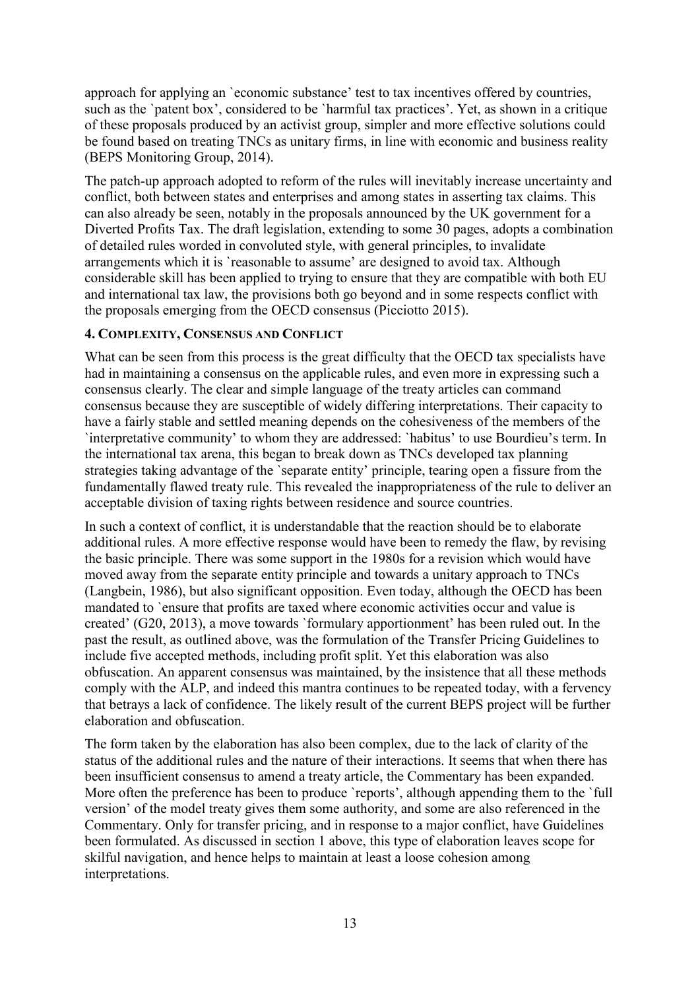approach for applying an `economic substance' test to tax incentives offered by countries, such as the 'patent box', considered to be 'harmful tax practices'. Yet, as shown in a critique of these proposals produced by an activist group, simpler and more effective solutions could be found based on treating TNCs as unitary firms, in line with economic and business reality (BEPS Monitoring Group, 2014).

The patch-up approach adopted to reform of the rules will inevitably increase uncertainty and conflict, both between states and enterprises and among states in asserting tax claims. This can also already be seen, notably in the proposals announced by the UK government for a Diverted Profits Tax. The draft legislation, extending to some 30 pages, adopts a combination of detailed rules worded in convoluted style, with general principles, to invalidate arrangements which it is `reasonable to assume' are designed to avoid tax. Although considerable skill has been applied to trying to ensure that they are compatible with both EU and international tax law, the provisions both go beyond and in some respects conflict with the proposals emerging from the OECD consensus (Picciotto 2015).

## **4. COMPLEXITY, CONSENSUS AND CONFLICT**

What can be seen from this process is the great difficulty that the OECD tax specialists have had in maintaining a consensus on the applicable rules, and even more in expressing such a consensus clearly. The clear and simple language of the treaty articles can command consensus because they are susceptible of widely differing interpretations. Their capacity to have a fairly stable and settled meaning depends on the cohesiveness of the members of the `interpretative community' to whom they are addressed: `habitus' to use Bourdieu's term. In the international tax arena, this began to break down as TNCs developed tax planning strategies taking advantage of the `separate entity' principle, tearing open a fissure from the fundamentally flawed treaty rule. This revealed the inappropriateness of the rule to deliver an acceptable division of taxing rights between residence and source countries.

In such a context of conflict, it is understandable that the reaction should be to elaborate additional rules. A more effective response would have been to remedy the flaw, by revising the basic principle. There was some support in the 1980s for a revision which would have moved away from the separate entity principle and towards a unitary approach to TNCs (Langbein, 1986), but also significant opposition. Even today, although the OECD has been mandated to `ensure that profits are taxed where economic activities occur and value is created' (G20, 2013), a move towards `formulary apportionment' has been ruled out. In the past the result, as outlined above, was the formulation of the Transfer Pricing Guidelines to include five accepted methods, including profit split. Yet this elaboration was also obfuscation. An apparent consensus was maintained, by the insistence that all these methods comply with the ALP, and indeed this mantra continues to be repeated today, with a fervency that betrays a lack of confidence. The likely result of the current BEPS project will be further elaboration and obfuscation.

The form taken by the elaboration has also been complex, due to the lack of clarity of the status of the additional rules and the nature of their interactions. It seems that when there has been insufficient consensus to amend a treaty article, the Commentary has been expanded. More often the preference has been to produce 'reports', although appending them to the 'full version' of the model treaty gives them some authority, and some are also referenced in the Commentary. Only for transfer pricing, and in response to a major conflict, have Guidelines been formulated. As discussed in section 1 above, this type of elaboration leaves scope for skilful navigation, and hence helps to maintain at least a loose cohesion among interpretations.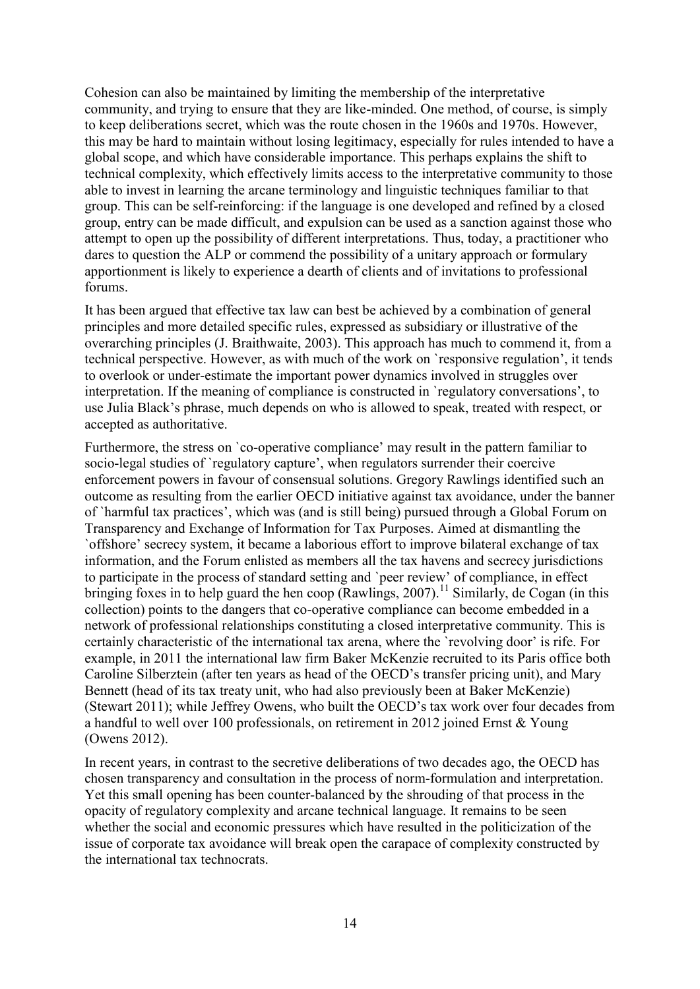Cohesion can also be maintained by limiting the membership of the interpretative community, and trying to ensure that they are like-minded. One method, of course, is simply to keep deliberations secret, which was the route chosen in the 1960s and 1970s. However, this may be hard to maintain without losing legitimacy, especially for rules intended to have a global scope, and which have considerable importance. This perhaps explains the shift to technical complexity, which effectively limits access to the interpretative community to those able to invest in learning the arcane terminology and linguistic techniques familiar to that group. This can be self-reinforcing: if the language is one developed and refined by a closed group, entry can be made difficult, and expulsion can be used as a sanction against those who attempt to open up the possibility of different interpretations. Thus, today, a practitioner who dares to question the ALP or commend the possibility of a unitary approach or formulary apportionment is likely to experience a dearth of clients and of invitations to professional forums.

It has been argued that effective tax law can best be achieved by a combination of general principles and more detailed specific rules, expressed as subsidiary or illustrative of the overarching principles (J. Braithwaite, 2003). This approach has much to commend it, from a technical perspective. However, as with much of the work on `responsive regulation', it tends to overlook or under-estimate the important power dynamics involved in struggles over interpretation. If the meaning of compliance is constructed in `regulatory conversations', to use Julia Black's phrase, much depends on who is allowed to speak, treated with respect, or accepted as authoritative.

Furthermore, the stress on `co-operative compliance' may result in the pattern familiar to socio-legal studies of `regulatory capture', when regulators surrender their coercive enforcement powers in favour of consensual solutions. Gregory Rawlings identified such an outcome as resulting from the earlier OECD initiative against tax avoidance, under the banner of `harmful tax practices', which was (and is still being) pursued through a Global Forum on Transparency and Exchange of Information for Tax Purposes. Aimed at dismantling the `offshore' secrecy system, it became a laborious effort to improve bilateral exchange of tax information, and the Forum enlisted as members all the tax havens and secrecy jurisdictions to participate in the process of standard setting and `peer review' of compliance, in effect bringing foxes in to help guard the hen coop (Rawlings, 2007).<sup>11</sup> Similarly, de Cogan (in this collection) points to the dangers that co-operative compliance can become embedded in a network of professional relationships constituting a closed interpretative community. This is certainly characteristic of the international tax arena, where the `revolving door' is rife. For example, in 2011 the international law firm Baker McKenzie recruited to its Paris office both Caroline Silberztein (after ten years as head of the OECD's transfer pricing unit), and Mary Bennett (head of its tax treaty unit, who had also previously been at Baker McKenzie) (Stewart 2011); while Jeffrey Owens, who built the OECD's tax work over four decades from a handful to well over 100 professionals, on retirement in 2012 joined Ernst & Young (Owens 2012).

In recent years, in contrast to the secretive deliberations of two decades ago, the OECD has chosen transparency and consultation in the process of norm-formulation and interpretation. Yet this small opening has been counter-balanced by the shrouding of that process in the opacity of regulatory complexity and arcane technical language. It remains to be seen whether the social and economic pressures which have resulted in the politicization of the issue of corporate tax avoidance will break open the carapace of complexity constructed by the international tax technocrats.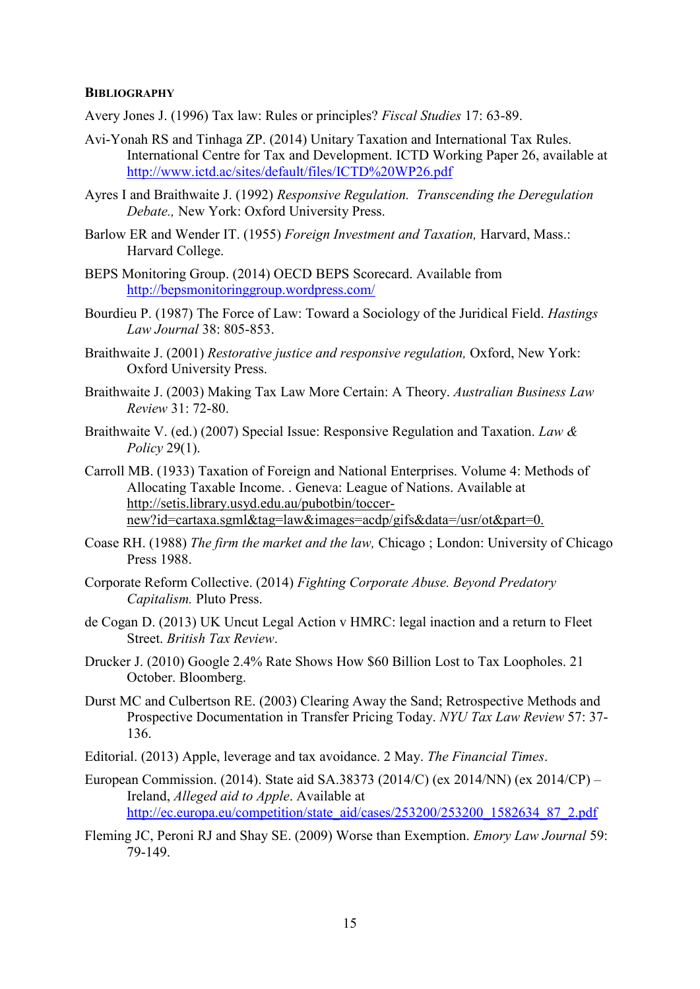#### **BIBLIOGRAPHY**

Avery Jones J. (1996) Tax law: Rules or principles? *Fiscal Studies* 17: 63-89.

- Avi-Yonah RS and Tinhaga ZP. (2014) Unitary Taxation and International Tax Rules. International Centre for Tax and Development. ICTD Working Paper 26, available at <http://www.ictd.ac/sites/default/files/ICTD%20WP26.pdf>
- Ayres I and Braithwaite J. (1992) *Responsive Regulation. Transcending the Deregulation Debate.,* New York: Oxford University Press.
- Barlow ER and Wender IT. (1955) *Foreign Investment and Taxation,* Harvard, Mass.: Harvard College.
- BEPS Monitoring Group. (2014) OECD BEPS Scorecard. Available from <http://bepsmonitoringgroup.wordpress.com/>
- Bourdieu P. (1987) The Force of Law: Toward a Sociology of the Juridical Field. *Hastings Law Journal* 38: 805-853.
- Braithwaite J. (2001) *Restorative justice and responsive regulation*, Oxford, New York: Oxford University Press.
- Braithwaite J. (2003) Making Tax Law More Certain: A Theory. *Australian Business Law Review* 31: 72-80.
- Braithwaite V. (ed.) (2007) Special Issue: Responsive Regulation and Taxation. *Law & Policy* 29(1).
- Carroll MB. (1933) Taxation of Foreign and National Enterprises. Volume 4: Methods of Allocating Taxable Income. . Geneva: League of Nations. Available at http://setis.library.usyd.edu.au/pubotbin/toccernew?id=cartaxa.sgml&tag=law&images=acdp/gifs&data=/usr/ot&part=0.
- Coase RH. (1988) *The firm the market and the law,* Chicago ; London: University of Chicago Press 1988.
- Corporate Reform Collective. (2014) *Fighting Corporate Abuse. Beyond Predatory Capitalism.* Pluto Press.
- de Cogan D. (2013) UK Uncut Legal Action v HMRC: legal inaction and a return to Fleet Street. *British Tax Review*.
- Drucker J. (2010) Google 2.4% Rate Shows How \$60 Billion Lost to Tax Loopholes. 21 October. Bloomberg.
- Durst MC and Culbertson RE. (2003) Clearing Away the Sand; Retrospective Methods and Prospective Documentation in Transfer Pricing Today. *NYU Tax Law Review* 57: 37- 136.
- Editorial. (2013) Apple, leverage and tax avoidance. 2 May. *The Financial Times*.
- European Commission. (2014). State aid SA.38373 (2014/C) (ex 2014/NN) (ex 2014/CP) Ireland, *Alleged aid to Apple*. Available at [http://ec.europa.eu/competition/state\\_aid/cases/253200/253200\\_1582634\\_87\\_2.pdf](http://ec.europa.eu/competition/state_aid/cases/253200/253200_1582634_87_2.pdf)
- Fleming JC, Peroni RJ and Shay SE. (2009) Worse than Exemption. *Emory Law Journal* 59: 79-149.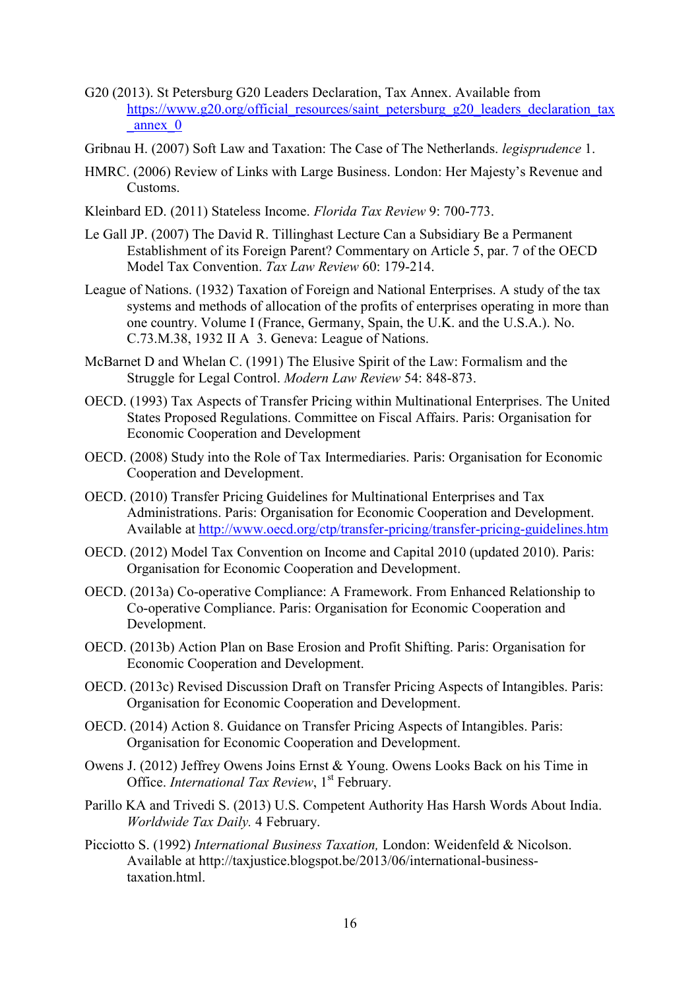- G20 (2013). St Petersburg G20 Leaders Declaration, Tax Annex. Available from [https://www.g20.org/official\\_resources/saint\\_petersburg\\_g20\\_leaders\\_declaration\\_tax](https://www.g20.org/official_resources/saint_petersburg_g20_leaders_declaration_tax_annex_0) [\\_annex\\_0](https://www.g20.org/official_resources/saint_petersburg_g20_leaders_declaration_tax_annex_0)
- Gribnau H. (2007) Soft Law and Taxation: The Case of The Netherlands. *legisprudence* 1.
- HMRC. (2006) Review of Links with Large Business. London: Her Majesty's Revenue and Customs.
- Kleinbard ED. (2011) Stateless Income. *Florida Tax Review* 9: 700-773.
- Le Gall JP. (2007) The David R. Tillinghast Lecture Can a Subsidiary Be a Permanent Establishment of its Foreign Parent? Commentary on Article 5, par. 7 of the OECD Model Tax Convention. *Tax Law Review* 60: 179-214.
- League of Nations. (1932) Taxation of Foreign and National Enterprises. A study of the tax systems and methods of allocation of the profits of enterprises operating in more than one country. Volume I (France, Germany, Spain, the U.K. and the U.S.A.). No. C.73.M.38, 1932 II A 3. Geneva: League of Nations.
- McBarnet D and Whelan C. (1991) The Elusive Spirit of the Law: Formalism and the Struggle for Legal Control. *Modern Law Review* 54: 848-873.
- OECD. (1993) Tax Aspects of Transfer Pricing within Multinational Enterprises. The United States Proposed Regulations. Committee on Fiscal Affairs. Paris: Organisation for Economic Cooperation and Development
- OECD. (2008) Study into the Role of Tax Intermediaries. Paris: Organisation for Economic Cooperation and Development.
- OECD. (2010) Transfer Pricing Guidelines for Multinational Enterprises and Tax Administrations. Paris: Organisation for Economic Cooperation and Development. Available at<http://www.oecd.org/ctp/transfer-pricing/transfer-pricing-guidelines.htm>
- OECD. (2012) Model Tax Convention on Income and Capital 2010 (updated 2010). Paris: Organisation for Economic Cooperation and Development.
- OECD. (2013a) Co-operative Compliance: A Framework. From Enhanced Relationship to Co-operative Compliance. Paris: Organisation for Economic Cooperation and Development.
- OECD. (2013b) Action Plan on Base Erosion and Profit Shifting. Paris: Organisation for Economic Cooperation and Development.
- OECD. (2013c) Revised Discussion Draft on Transfer Pricing Aspects of Intangibles. Paris: Organisation for Economic Cooperation and Development.
- OECD. (2014) Action 8. Guidance on Transfer Pricing Aspects of Intangibles. Paris: Organisation for Economic Cooperation and Development.
- Owens J. (2012) Jeffrey Owens Joins Ernst & Young. Owens Looks Back on his Time in Office. *International Tax Review*, 1<sup>st</sup> February.
- Parillo KA and Trivedi S. (2013) U.S. Competent Authority Has Harsh Words About India. *Worldwide Tax Daily.* 4 February.
- Picciotto S. (1992) *International Business Taxation,* London: Weidenfeld & Nicolson. Available at http://taxjustice.blogspot.be/2013/06/international-businesstaxation.html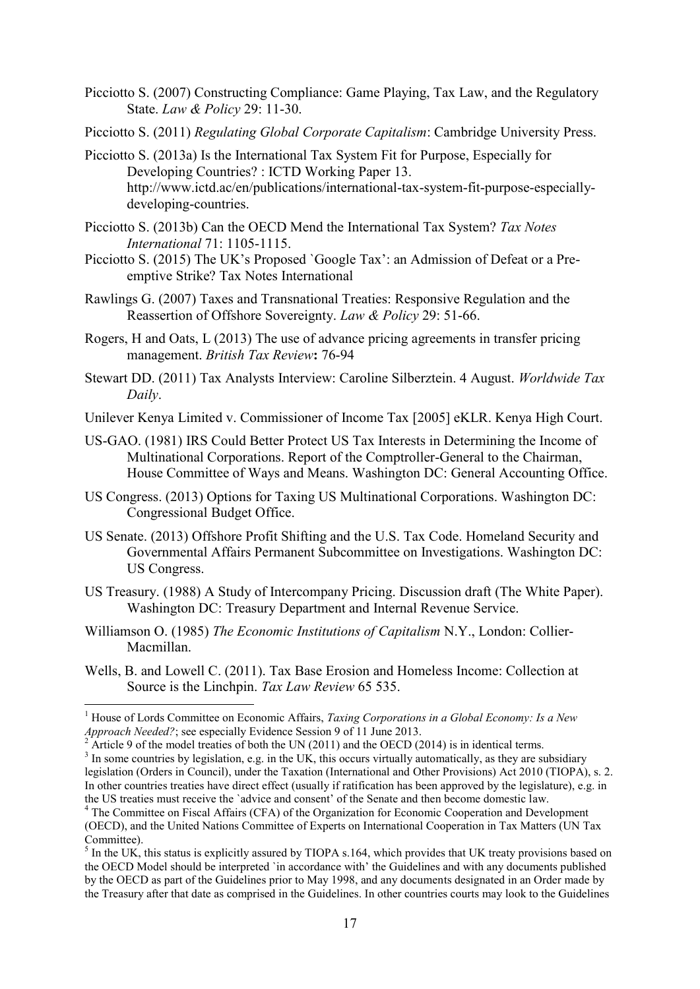- Picciotto S. (2007) Constructing Compliance: Game Playing, Tax Law, and the Regulatory State. *Law & Policy* 29: 11-30.
- Picciotto S. (2011) *Regulating Global Corporate Capitalism*: Cambridge University Press.
- Picciotto S. (2013a) Is the International Tax System Fit for Purpose, Especially for Developing Countries? : ICTD Working Paper 13. http://www.ictd.ac/en/publications/international-tax-system-fit-purpose-especiallydeveloping-countries.
- Picciotto S. (2013b) Can the OECD Mend the International Tax System? *Tax Notes International* 71: 1105-1115.
- Picciotto S. (2015) The UK's Proposed `Google Tax': an Admission of Defeat or a Preemptive Strike? Tax Notes International
- Rawlings G. (2007) Taxes and Transnational Treaties: Responsive Regulation and the Reassertion of Offshore Sovereignty. *Law & Policy* 29: 51-66.
- Rogers, H and Oats, L (2013) The use of advance pricing agreements in transfer pricing management. *British Tax Review***:** 76-94
- Stewart DD. (2011) Tax Analysts Interview: Caroline Silberztein. 4 August. *Worldwide Tax Daily*.
- Unilever Kenya Limited v. Commissioner of Income Tax [2005] eKLR. Kenya High Court.
- US-GAO. (1981) IRS Could Better Protect US Tax Interests in Determining the Income of Multinational Corporations. Report of the Comptroller-General to the Chairman, House Committee of Ways and Means. Washington DC: General Accounting Office.
- US Congress. (2013) Options for Taxing US Multinational Corporations. Washington DC: Congressional Budget Office.
- US Senate. (2013) Offshore Profit Shifting and the U.S. Tax Code. Homeland Security and Governmental Affairs Permanent Subcommittee on Investigations. Washington DC: US Congress.
- US Treasury. (1988) A Study of Intercompany Pricing. Discussion draft (The White Paper). Washington DC: Treasury Department and Internal Revenue Service.
- Williamson O. (1985) *The Economic Institutions of Capitalism* N.Y., London: Collier-Macmillan.
- Wells, B. and Lowell C. (2011). Tax Base Erosion and Homeless Income: Collection at Source is the Linchpin. *Tax Law Review* 65 535.

1

<sup>1</sup> House of Lords Committee on Economic Affairs, *Taxing Corporations in a Global Economy: Is a New Approach Needed?*; see especially Evidence Session 9 of 11 June 2013.

Article 9 of the model treaties of both the UN (2011) and the OECD (2014) is in identical terms.

 $3$  In some countries by legislation, e.g. in the UK, this occurs virtually automatically, as they are subsidiary legislation (Orders in Council), under the Taxation (International and Other Provisions) Act 2010 (TIOPA), s. 2. In other countries treaties have direct effect (usually if ratification has been approved by the legislature), e.g. in the US treaties must receive the `advice and consent' of the Senate and then become domestic law.

<sup>4</sup> The Committee on Fiscal Affairs (CFA) of the Organization for Economic Cooperation and Development (OECD), and the United Nations Committee of Experts on International Cooperation in Tax Matters (UN Tax Committee).

 $<sup>5</sup>$  In the UK, this status is explicitly assured by TIOPA s.164, which provides that UK treaty provisions based on</sup> the OECD Model should be interpreted `in accordance with' the Guidelines and with any documents published by the OECD as part of the Guidelines prior to May 1998, and any documents designated in an Order made by the Treasury after that date as comprised in the Guidelines. In other countries courts may look to the Guidelines